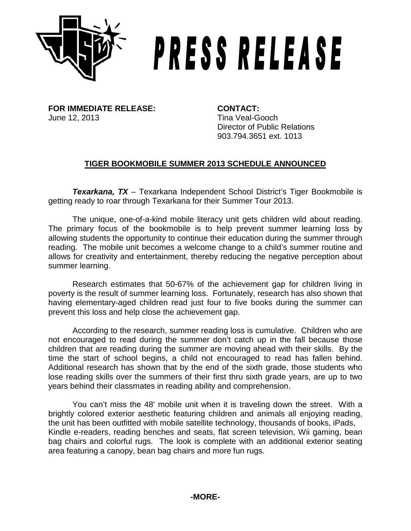

## PRESS RELEASE

**FOR IMMEDIATE RELEASE: CONTACT:** June 12, 2013 **Tina Veal-Gooch** 

Director of Public Relations 903.794.3651 ext. 1013

## **TIGER BOOKMOBILE SUMMER 2013 SCHEDULE ANNOUNCED**

*Texarkana, TX* – Texarkana Independent School District's Tiger Bookmobile is getting ready to roar through Texarkana for their Summer Tour 2013.

The unique, one-of-a-kind mobile literacy unit gets children wild about reading. The primary focus of the bookmobile is to help prevent summer learning loss by allowing students the opportunity to continue their education during the summer through reading. The mobile unit becomes a welcome change to a child's summer routine and allows for creativity and entertainment, thereby reducing the negative perception about summer learning.

Research estimates that 50-67% of the achievement gap for children living in poverty is the result of summer learning loss. Fortunately, research has also shown that having elementary-aged children read just four to five books during the summer can prevent this loss and help close the achievement gap.

According to the research, summer reading loss is cumulative. Children who are not encouraged to read during the summer don't catch up in the fall because those children that are reading during the summer are moving ahead with their skills. By the time the start of school begins, a child not encouraged to read has fallen behind. Additional research has shown that by the end of the sixth grade, those students who lose reading skills over the summers of their first thru sixth grade years, are up to two years behind their classmates in reading ability and comprehension.

You can't miss the 48' mobile unit when it is traveling down the street. With a brightly colored exterior aesthetic featuring children and animals all enjoying reading, the unit has been outfitted with mobile satellite technology, thousands of books, iPads, Kindle e-readers, reading benches and seats, flat screen television, Wii gaming, bean bag chairs and colorful rugs. The look is complete with an additional exterior seating area featuring a canopy, bean bag chairs and more fun rugs.